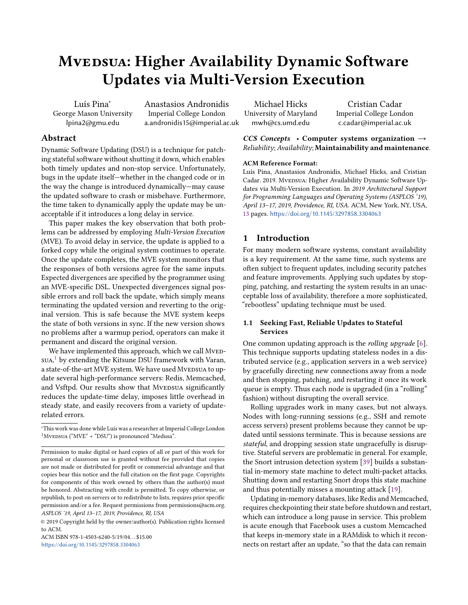# **MVEDSUA: Higher Availability Dynamic Software** Updates via Multi-Version Execution

Luís Pina<sup>∗</sup> George Mason University lpina2@gmu.edu

Anastasios Andronidis Imperial College London a.andronidis15@imperial.ac.uk

# Abstract

Dynamic Software Updating (DSU) is a technique for patching stateful software without shutting it down, which enables both timely updates and non-stop service. Unfortunately, bugs in the update itself—whether in the changed code or in the way the change is introduced dynamically—may cause the updated software to crash or misbehave. Furthermore, the time taken to dynamically apply the update may be unacceptable if it introduces a long delay in service.

This paper makes the key observation that both problems can be addressed by employing Multi-Version Execution (MVE). To avoid delay in service, the update is applied to a forked copy while the original system continues to operate. Once the update completes, the MVE system monitors that the responses of both versions agree for the same inputs. Expected divergences are specified by the programmer using an MVE-specific DSL. Unexpected divergences signal possible errors and roll back the update, which simply means terminating the updated version and reverting to the original version. This is safe because the MVE system keeps the state of both versions in sync. If the new version shows no problems after a warmup period, operators can make it permanent and discard the original version.

We have implemented this approach, which we call MvED $s$ UA, $1$  by extending the Kitsune DSU framework with Varan, a state-of-the-art MVE system. We have used MvEDSUA to update several high-performance servers: Redis, Memcached, and Vsftpd. Our results show that MvEDSUA significantly reduces the update-time delay, imposes little overhead in steady state, and easily recovers from a variety of updaterelated errors.

<span id="page-0-0"></span><sup>∗</sup>This work was done while Luís was a researcher at Imperial College London  $1$ MvEDSUA ("MVE" + "DSU") is pronounced "Medusa".

© 2019 Copyright held by the owner/author(s). Publication rights licensed to ACM.

ACM ISBN 978-1-4503-6240-5/19/04...\$15.00 <https://doi.org/10.1145/3297858.3304063>

Michael Hicks University of Maryland mwh@cs.umd.edu

Cristian Cadar Imperial College London c.cadar@imperial.ac.uk

CCS Concepts • Computer systems organization  $\rightarrow$ Reliability; Availability; Maintainability and maintenance.

## ACM Reference Format:

Luís Pina, Anastasios Andronidis, Michael Hicks, and Cristian Cadar. 2019. MvEDSUA: Higher Availability Dynamic Software Updates via Multi-Version Execution. In 2019 Architectural Support for Programming Languages and Operating Systems (ASPLOS '19), April 13–17, 2019, Providence, RI, USA. ACM, New York, NY, USA, [13](#page-12-0) pages. <https://doi.org/10.1145/3297858.3304063>

# 1 Introduction

For many modern software systems, constant availability is a key requirement. At the same time, such systems are often subject to frequent updates, including security patches and feature improvements. Applying such updates by stopping, patching, and restarting the system results in an unacceptable loss of availability, therefore a more sophisticated, "rebootless" updating technique must be used.

# 1.1 Seeking Fast, Reliable Updates to Stateful Services

One common updating approach is the rolling upgrade [\[6\]](#page-11-0). This technique supports updating stateless nodes in a distributed service (e.g., application servers in a web service) by gracefully directing new connections away from a node and then stopping, patching, and restarting it once its work queue is empty. Thus each node is upgraded (in a "rolling" fashion) without disrupting the overall service.

Rolling upgrades work in many cases, but not always. Nodes with long-running sessions (e.g., SSH and remote access servers) present problems because they cannot be updated until sessions terminate. This is because sessions are stateful, and dropping session state ungracefully is disruptive. Stateful servers are problematic in general. For example, the Snort intrusion detection system [\[39\]](#page-12-1) builds a substantial in-memory state machine to detect multi-packet attacks. Shutting down and restarting Snort drops this state machine and thus potentially misses a mounting attack [\[19\]](#page-12-2).

Updating in-memory databases, like Redis and Memcached, requires checkpointing their state before shutdown and restart, which can introduce a long pause in service. This problem is acute enough that Facebook uses a custom Memcached that keeps in-memory state in a RAMdisk to which it reconnects on restart after an update, "so that the data can remain

Permission to make digital or hard copies of all or part of this work for personal or classroom use is granted without fee provided that copies are not made or distributed for profit or commercial advantage and that copies bear this notice and the full citation on the first page. Copyrights for components of this work owned by others than the author(s) must be honored. Abstracting with credit is permitted. To copy otherwise, or republish, to post on servers or to redistribute to lists, requires prior specific permission and/or a fee. Request permissions from permissions@acm.org. ASPLOS '19, April 13–17, 2019, Providence, RI, USA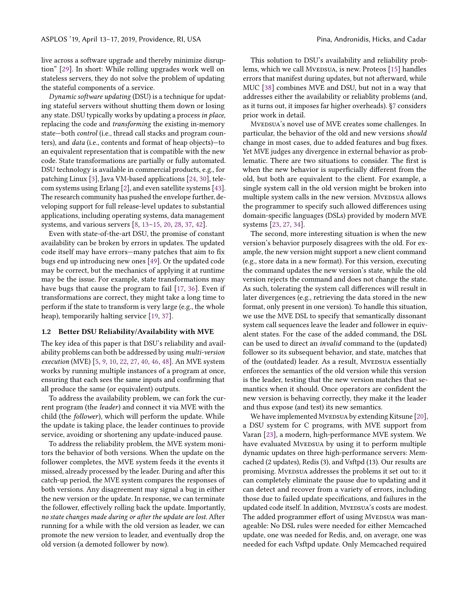live across a software upgrade and thereby minimize disruption" [\[29\]](#page-12-3). In short: While rolling upgrades work well on stateless servers, they do not solve the problem of updating the stateful components of a service.

Dynamic software updating (DSU) is a technique for updating stateful servers without shutting them down or losing any state. DSU typically works by updating a process in place, replacing the code and transforming the existing in-memory state—both control (i.e., thread call stacks and program counters), and data (i.e., contents and format of heap objects)—to an equivalent representation that is compatible with the new code. State transformations are partially or fully automated. DSU technology is available in commercial products, e.g., for patching Linux [\[3\]](#page-11-1), Java VM-based applications [\[24,](#page-12-4) [30\]](#page-12-5), telecom systems using Erlang [\[2\]](#page-11-2), and even satellite systems [\[43\]](#page-12-6). The research community has pushed the envelope further, developing support for full release-level updates to substantial applications, including operating systems, data management systems, and various servers [\[8,](#page-11-3) [13–](#page-12-7)[15,](#page-12-8) [20,](#page-12-9) [28,](#page-12-10) [37,](#page-12-11) [42\]](#page-12-12).

Even with state-of-the-art DSU, the promise of constant availability can be broken by errors in updates. The updated code itself may have errors—many patches that aim to fix bugs end up introducing new ones [\[49\]](#page-12-13). Or the updated code may be correct, but the mechanics of applying it at runtime may be the issue. For example, state transformations may have bugs that cause the program to fail [\[17,](#page-12-14) [36\]](#page-12-15). Even if transformations are correct, they might take a long time to perform if the state to transform is very large (e.g., the whole heap), temporarily halting service [\[19,](#page-12-2) [37\]](#page-12-11).

#### 1.2 Better DSU Reliability/Availability with MVE

The key idea of this paper is that DSU's reliability and availability problems can both be addressed by using multi-version execution (MVE) [\[5,](#page-11-4) [9,](#page-11-5) [10,](#page-11-6) [22,](#page-12-16) [27,](#page-12-17) [40,](#page-12-18) [46,](#page-12-19) [48\]](#page-12-20). An MVE system works by running multiple instances of a program at once, ensuring that each sees the same inputs and confirming that all produce the same (or equivalent) outputs.

To address the availability problem, we can fork the current program (the leader) and connect it via MVE with the child (the follower), which will perform the update. While the update is taking place, the leader continues to provide service, avoiding or shortening any update-induced pause.

To address the reliability problem, the MVE system monitors the behavior of both versions. When the update on the follower completes, the MVE system feeds it the events it missed, already processed by the leader. During and after this catch-up period, the MVE system compares the responses of both versions. Any disagreement may signal a bug in either the new version or the update. In response, we can terminate the follower, effectively rolling back the update. Importantly, no state changes made during or after the update are lost. After running for a while with the old version as leader, we can promote the new version to leader, and eventually drop the old version (a demoted follower by now).

This solution to DSU's availability and reliability prob-lems, which we call MvEDSUA, is new. Proteos [\[15\]](#page-12-8) handles errors that manifest during updates, but not afterward, while MUC [\[38\]](#page-12-21) combines MVE and DSU, but not in a way that addresses either the availability or reliablity problems (and, as it turns out, it imposes far higher overheads). [§7](#page-10-0) considers prior work in detail.

MVEDSUA's novel use of MVE creates some challenges. In particular, the behavior of the old and new versions should change in most cases, due to added features and bug fixes. Yet MVE judges any divergence in external behavior as problematic. There are two situations to consider. The first is when the new behavior is superficially different from the old, but both are equivalent to the client. For example, a single system call in the old version might be broken into multiple system calls in the new version. MvEDSUA allows the programmer to specify such allowed differences using domain-specific languages (DSLs) provided by modern MVE systems [\[23,](#page-12-22) [27,](#page-12-17) [34\]](#page-12-23).

The second, more interesting situation is when the new version's behavior purposely disagrees with the old. For example, the new version might support a new client command (e.g., store data in a new format). For this version, executing the command updates the new version's state, while the old version rejects the command and does not change the state. As such, tolerating the system call differences will result in later divergences (e.g., retrieving the data stored in the new format, only present in one version). To handle this situation, we use the MVE DSL to specify that semantically dissonant system call sequences leave the leader and follower in equivalent states. For the case of the added command, the DSL can be used to direct an invalid command to the (updated) follower so its subsequent behavior, and state, matches that of the (outdated) leader. As a result, MvEDSUA essentially enforces the semantics of the old version while this version is the leader, testing that the new version matches that semantics when it should. Once operators are confident the new version is behaving correctly, they make it the leader and thus expose (and test) its new semantics.

We have implemented MvEDSUA by extending Kitsune [\[20\]](#page-12-9), a DSU system for C programs, with MVE support from Varan [\[23\]](#page-12-22), a modern, high-performance MVE system. We have evaluated MvEDSUA by using it to perform multiple dynamic updates on three high-performance servers: Memcached (2 updates), Redis (3), and Vsftpd (13). Our results are promising. MvEDSUA addresses the problems it set out to: it can completely eliminate the pause due to updating and it can detect and recover from a variety of errors, including those due to failed update specifications, and failures in the updated code itself. In addition, MvEDSUA's costs are modest. The added programmer effort of using MvEDSUA was manageable: No DSL rules were needed for either Memcached update, one was needed for Redis, and, on average, one was needed for each Vsftpd update. Only Memcached required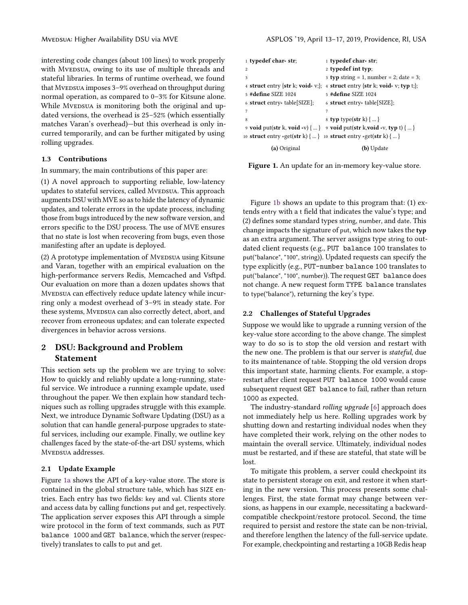interesting code changes (about 100 lines) to work properly with MvEDSUA, owing to its use of multiple threads and stateful libraries. In terms of runtime overhead, we found that MvEDSUA imposes 3-9% overhead on throughput during normal operation, as compared to 0–3% for Kitsune alone. While MvEDSUA is monitoring both the original and updated versions, the overhead is 25–52% (which essentially matches Varan's overhead)—but this overhead is only incurred temporarily, and can be further mitigated by using rolling upgrades.

#### 1.3 Contributions

In summary, the main contributions of this paper are:

(1) A novel approach to supporting reliable, low-latency updates to stateful services, called MvEDSUA. This approach augments DSU with MVE so as to hide the latency of dynamic updates, and tolerate errors in the update process, including those from bugs introduced by the new software version, and errors specific to the DSU process. The use of MVE ensures that no state is lost when recovering from bugs, even those manifesting after an update is deployed.

 $(2)$  A prototype implementation of MvEDSUA using Kitsune and Varan, together with an empirical evaluation on the high-performance servers Redis, Memcached and Vsftpd. Our evaluation on more than a dozen updates shows that MvEDSUA can effectively reduce update latency while incurring only a modest overhead of 3–9% in steady state. For these systems, MvEDSUA can also correctly detect, abort, and recover from erroneous updates; and can tolerate expected divergences in behavior across versions.

# 2 DSU: Background and Problem Statement

This section sets up the problem we are trying to solve: How to quickly and reliably update a long-running, stateful service. We introduce a running example update, used throughout the paper. We then explain how standard techniques such as rolling upgrades struggle with this example. Next, we introduce Dynamic Software Updating (DSU) as a solution that can handle general-purpose upgrades to stateful services, including our example. Finally, we outline key challenges faced by the state-of-the-art DSU systems, which MvEDSUA addresses.

#### 2.1 Update Example

Figure [1a](#page-2-0) shows the API of a key-value store. The store is contained in the global structure table, which has SIZE entries. Each entry has two fields: key and val. Clients store and access data by calling functions put and get, respectively. The application server exposes this API through a simple wire protocol in the form of text commands, such as PUT balance 1000 and GET balance, which the server (respectively) translates to calls to put and get.

<span id="page-2-2"></span>

|                | 1 typedef char* str;                                              | 1 typedef char* str;                                                   |
|----------------|-------------------------------------------------------------------|------------------------------------------------------------------------|
| $\mathfrak{p}$ |                                                                   | 2 typedef int typ;                                                     |
| 3              |                                                                   | 3 <b>typ</b> string = 1, number = 2; date = 3;                         |
|                | 4 struct entry $\{str k; \text{void}^* v;\}$                      | 4 struct entry {str k; void* v; typ t;};                               |
|                | 5 #define SIZE 1024                                               | 5 <b>#define</b> SIZE 1024                                             |
|                | $\epsilon$ struct entry table [SIZE];                             | $\epsilon$ struct entry table [SIZE];                                  |
|                |                                                                   |                                                                        |
| 8              |                                                                   | 8 typ type(str k) $\{ \dots \}$                                        |
|                |                                                                   | 9 void put(str k, void *v) {  } 9 void put(str k, void *v, typ t) {  } |
|                | 10 struct entry *get(str k) {  } 10 struct entry *get(str k) {  } |                                                                        |
|                | (a) Original                                                      | (b) Update                                                             |

<span id="page-2-1"></span><span id="page-2-0"></span>Figure 1. An update for an in-memory key-value store.

Figure [1b](#page-2-1) shows an update to this program that: (1) extends entry with a t field that indicates the value's type; and (2) defines some standard types string, number, and date. This change impacts the signature of put, which now takes the typ as an extra argument. The server assigns type string to outdated client requests (e.g., PUT balance 100 translates to put("balance", "100", string)). Updated requests can specify the type explicitly (e.g., PUT-number balance 100 translates to put("balance", "100", number)). The request GET balance does not change. A new request form TYPE balance translates to type("balance"), returning the key's type.

## 2.2 Challenges of Stateful Upgrades

Suppose we would like to upgrade a running version of the key-value store according to the above change. The simplest way to do so is to stop the old version and restart with the new one. The problem is that our server is stateful, due to its maintenance of table. Stopping the old version drops this important state, harming clients. For example, a stoprestart after client request PUT balance 1000 would cause subsequent request GET balance to fail, rather than return 1000 as expected.

The industry-standard rolling upgrade [\[6\]](#page-11-0) approach does not immediately help us here. Rolling upgrades work by shutting down and restarting individual nodes when they have completed their work, relying on the other nodes to maintain the overall service. Ultimately, individual nodes must be restarted, and if these are stateful, that state will be lost.

To mitigate this problem, a server could checkpoint its state to persistent storage on exit, and restore it when starting in the new version. This process presents some challenges. First, the state format may change between versions, as happens in our example, necessitating a backwardcompatible checkpoint/restore protocol. Second, the time required to persist and restore the state can be non-trivial, and therefore lengthen the latency of the full-service update. For example, checkpointing and restarting a 10GB Redis heap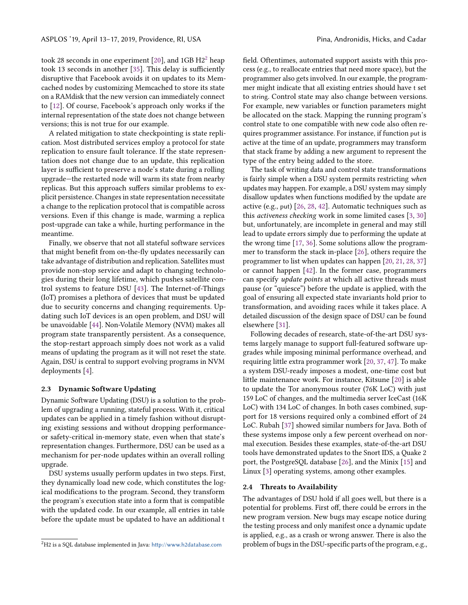took 28 seconds in one experiment [\[20\]](#page-12-9), and  $1GB H2^2$  $1GB H2^2$  $1GB H2^2$  heap took 13 seconds in another [\[35\]](#page-12-24). This delay is sufficiently disruptive that Facebook avoids it on updates to its Memcached nodes by customizing Memcached to store its state on a RAMdisk that the new version can immediately connect to [\[12\]](#page-12-25). Of course, Facebook's approach only works if the internal representation of the state does not change between versions; this is not true for our example.

A related mitigation to state checkpointing is state replication. Most distributed services employ a protocol for state replication to ensure fault tolerance. If the state representation does not change due to an update, this replication layer is sufficient to preserve a node's state during a rolling upgrade—the restarted node will warm its state from nearby replicas. But this approach suffers similar problems to explicit persistence. Changes in state representation necessitate a change to the replication protocol that is compatible across versions. Even if this change is made, warming a replica post-upgrade can take a while, hurting performance in the meantime.

Finally, we observe that not all stateful software services that might benefit from on-the-fly updates necessarily can take advantage of distribution and replication. Satellites must provide non-stop service and adapt to changing technologies during their long lifetime, which pushes satellite control systems to feature DSU [\[43\]](#page-12-6). The Internet-of-Things (IoT) promises a plethora of devices that must be updated due to security concerns and changing requirements. Updating such IoT devices is an open problem, and DSU will be unavoidable [\[44\]](#page-12-26). Non-Volatile Memory (NVM) makes all program state transparently persistent. As a consequence, the stop-restart approach simply does not work as a valid means of updating the program as it will not reset the state. Again, DSU is central to support evolving programs in NVM deployments [\[4\]](#page-11-7).

#### 2.3 Dynamic Software Updating

Dynamic Software Updating (DSU) is a solution to the problem of upgrading a running, stateful process. With it, critical updates can be applied in a timely fashion without disrupting existing sessions and without dropping performanceor safety-critical in-memory state, even when that state's representation changes. Furthermore, DSU can be used as a mechanism for per-node updates within an overall rolling upgrade.

DSU systems usually perform updates in two steps. First, they dynamically load new code, which constitutes the logical modifications to the program. Second, they transform the program's execution state into a form that is compatible with the updated code. In our example, all entries in table before the update must be updated to have an additional t

field. Oftentimes, automated support assists with this process (e.g., to reallocate entries that need more space), but the programmer also gets involved. In our example, the programmer might indicate that all existing entries should have t set to string. Control state may also change between versions. For example, new variables or function parameters might be allocated on the stack. Mapping the running program's control state to one compatible with new code also often requires programmer assistance. For instance, if function put is active at the time of an update, programmers may transform that stack frame by adding a new argument to represent the type of the entry being added to the store.

The task of writing data and control state transformations is fairly simple when a DSU system permits restricting when updates may happen. For example, a DSU system may simply disallow updates when functions modified by the update are active (e.g., put) [\[26,](#page-12-27) [28,](#page-12-10) [42\]](#page-12-12). Automatic techniques such as this activeness checking work in some limited cases [\[3,](#page-11-1) [30\]](#page-12-5) but, unfortunately, are incomplete in general and may still lead to update errors simply due to performing the update at the wrong time [\[17,](#page-12-14) [36\]](#page-12-15). Some solutions allow the programmer to transform the stack in-place [\[26\]](#page-12-27), others require the programmer to list when updates can happen [\[20,](#page-12-9) [21,](#page-12-28) [28,](#page-12-10) [37\]](#page-12-11) or cannot happen [\[42\]](#page-12-12). In the former case, programmers can specify update points at which all active threads must pause (or "quiesce") before the update is applied, with the goal of ensuring all expected state invariants hold prior to transformation, and avoiding races while it takes place. A detailed discussion of the design space of DSU can be found elsewhere [\[31\]](#page-12-29).

Following decades of research, state-of-the-art DSU systems largely manage to support full-featured software upgrades while imposing minimal performance overhead, and requiring little extra programmer work [\[20,](#page-12-9) [37,](#page-12-11) [47\]](#page-12-30). To make a system DSU-ready imposes a modest, one-time cost but little maintenance work. For instance, Kitsune [\[20\]](#page-12-9) is able to update the Tor anonymous router (76K LoC) with just 159 LoC of changes, and the multimedia server IceCast (16K LoC) with 134 LoC of changes. In both cases combined, support for 18 versions required only a combined effort of 24 LoC. Rubah [\[37\]](#page-12-11) showed similar numbers for Java. Both of these systems impose only a few percent overhead on normal execution. Besides these examples, state-of-the-art DSU tools have demonstrated updates to the Snort IDS, a Quake 2 port, the PostgreSQL database [\[26\]](#page-12-27), and the Minix [\[15\]](#page-12-8) and Linux [\[3\]](#page-11-1) operating systems, among other examples.

### 2.4 Threats to Availability

The advantages of DSU hold if all goes well, but there is a potential for problems. First off, there could be errors in the new program version. New bugs may escape notice during the testing process and only manifest once a dynamic update is applied, e.g., as a crash or wrong answer. There is also the problem of bugs in the DSU-specific parts of the program, e.g.,

<span id="page-3-0"></span><sup>2</sup>H2 is a SQL database implemented in Java: <http://www.h2database.com>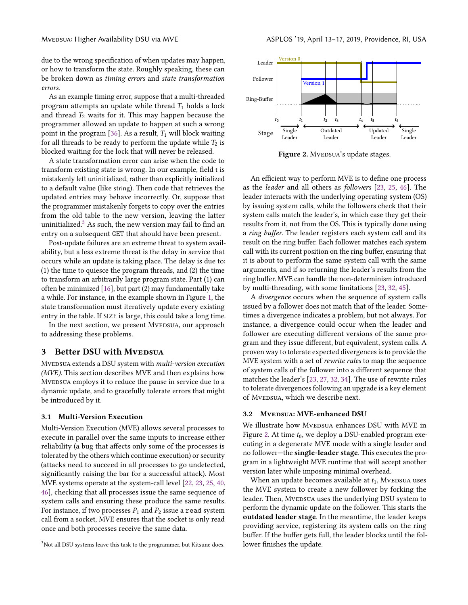due to the wrong specification of when updates may happen, or how to transform the state. Roughly speaking, these can be broken down as timing errors and state transformation errors.

As an example timing error, suppose that a multi-threaded program attempts an update while thread  $T_1$  holds a lock and thread  $T_2$  waits for it. This may happen because the programmer allowed an update to happen at such a wrong point in the program [\[36\]](#page-12-15). As a result,  $T_1$  will block waiting for all threads to be ready to perform the update while  $T_2$  is blocked waiting for the lock that will never be released.

A state transformation error can arise when the code to transform existing state is wrong. In our example, field t is mistakenly left uninitialized, rather than explicitly initialized to a default value (like string). Then code that retrieves the updated entries may behave incorrectly. Or, suppose that the programmer mistakenly forgets to copy over the entries from the old table to the new version, leaving the latter uninitialized. $3$  As such, the new version may fail to find an entry on a subsequent GET that should have been present.

Post-update failures are an extreme threat to system availability, but a less extreme threat is the delay in service that occurs while an update is taking place. The delay is due to: (1) the time to quiesce the program threads, and (2) the time to transform an arbitrarily large program state. Part (1) can often be minimized [\[16\]](#page-12-31), but part (2) may fundamentally take a while. For instance, in the example shown in Figure [1,](#page-2-2) the state transformation must iteratively update every existing entry in the table. If SIZE is large, this could take a long time.

In the next section, we present MvEDSUA, our approach to addressing these problems.

# 3 Better DSU with MVEDSUA

MvEDSUA extends a DSU system with multi-version execution (MVE). This section describes MVE and then explains how MvEDSUA employs it to reduce the pause in service due to a dynamic update, and to gracefully tolerate errors that might be introduced by it.

## 3.1 Multi-Version Execution

Multi-Version Execution (MVE) allows several processes to execute in parallel over the same inputs to increase either reliability (a bug that affects only some of the processes is tolerated by the others which continue execution) or security (attacks need to succeed in all processes to go undetected, significantly raising the bar for a successful attack). Most MVE systems operate at the system-call level [\[22,](#page-12-16) [23,](#page-12-22) [25,](#page-12-32) [40,](#page-12-18) [46\]](#page-12-19), checking that all processes issue the same sequence of system calls and ensuring these produce the same results. For instance, if two processes  $P_1$  and  $P_2$  issue a read system call from a socket, MVE ensures that the socket is only read once and both processes receive the same data.

<span id="page-4-1"></span>

Figure 2. MVEDSUA's update stages.

An efficient way to perform MVE is to define one process as the leader and all others as followers [\[23,](#page-12-22) [25,](#page-12-32) [46\]](#page-12-19). The leader interacts with the underlying operating system (OS) by issuing system calls, while the followers check that their system calls match the leader's, in which case they get their results from it, not from the OS. This is typically done using a ring buffer. The leader registers each system call and its result on the ring buffer. Each follower matches each system call with its current position on the ring buffer, ensuring that it is about to perform the same system call with the same arguments, and if so returning the leader's results from the ring buffer. MVE can handle the non-determinism introduced by multi-threading, with some limitations [\[23,](#page-12-22) [32,](#page-12-33) [45\]](#page-12-34).

A divergence occurs when the sequence of system calls issued by a follower does not match that of the leader. Sometimes a divergence indicates a problem, but not always. For instance, a divergence could occur when the leader and follower are executing different versions of the same program and they issue different, but equivalent, system calls. A proven way to tolerate expected divergences is to provide the MVE system with a set of rewrite rules to map the sequence of system calls of the follower into a different sequence that matches the leader's [\[23,](#page-12-22) [27,](#page-12-17) [32,](#page-12-33) [34\]](#page-12-23). The use of rewrite rules to tolerate divergences following an upgrade is a key element of MvEDSUA, which we describe next.

#### 3.2 MVEDSUA: MVE-enhanced DSU

We illustrate how MvEDSUA enhances DSU with MVE in Figure [2.](#page-4-1) At time  $t_0$ , we deploy a DSU-enabled program executing in a degenerate MVE mode with a single leader and no follower—the single-leader stage. This executes the program in a lightweight MVE runtime that will accept another version later while imposing minimal overhead.

When an update becomes available at  $t_1$ , MvEDSUA uses the MVE system to create a new follower by forking the leader. Then, MvEDSUA uses the underlying DSU system to perform the dynamic update on the follower. This starts the outdated leader stage. In the meantime, the leader keeps providing service, registering its system calls on the ring buffer. If the buffer gets full, the leader blocks until the follower finishes the update.

<span id="page-4-0"></span><sup>&</sup>lt;sup>3</sup>Not all DSU systems leave this task to the programmer, but Kitsune does.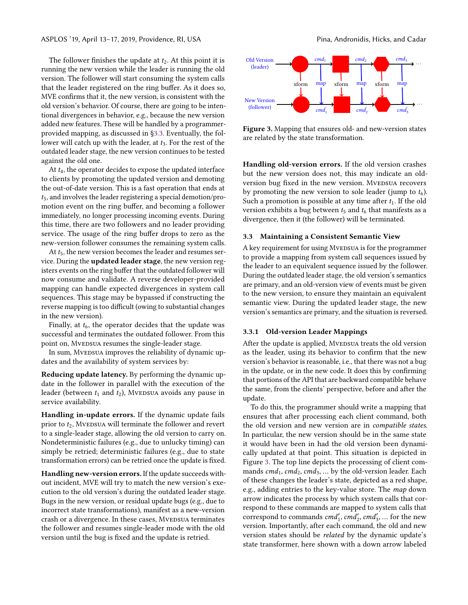The follower finishes the update at  $t_2$ . At this point it is running the new version while the leader is running the old version. The follower will start consuming the system calls that the leader registered on the ring buffer. As it does so, MVE confirms that it, the new version, is consistent with the old version's behavior. Of course, there are going to be intentional divergences in behavior, e.g., because the new version added new features. These will be handled by a programmerprovided mapping, as discussed in [§3.3.](#page-5-0) Eventually, the follower will catch up with the leader, at  $t_3$ . For the rest of the outdated leader stage, the new version continues to be tested against the old one.

At  $t_4$ , the operator decides to expose the updated interface to clients by promoting the updated version and demoting the out-of-date version. This is a fast operation that ends at  $t_5$ , and involves the leader registering a special demotion/promotion event on the ring buffer, and becoming a follower immediately, no longer processing incoming events. During this time, there are two followers and no leader providing service. The usage of the ring buffer drops to zero as the new-version follower consumes the remaining system calls.

At  $t_5$ , the new version becomes the leader and resumes service. During the updated leader stage, the new version registers events on the ring buffer that the outdated follower will now consume and validate. A reverse developer-provided mapping can handle expected divergences in system call sequences. This stage may be bypassed if constructing the reverse mapping is too difficult (owing to substantial changes in the new version).

Finally, at  $t_6$ , the operator decides that the update was successful and terminates the outdated follower. From this point on, MvEDSUA resumes the single-leader stage.

In sum, MvEDSUA improves the reliability of dynamic updates and the availability of system services by:

Reducing update latency. By performing the dynamic update in the follower in parallel with the execution of the leader (between  $t_1$  and  $t_2$ ), MvEDSUA avoids any pause in service availability.

Handling in-update errors. If the dynamic update fails prior to  $t_2$ , MvEDSUA will terminate the follower and revert to a single-leader stage, allowing the old version to carry on. Nondeterministic failures (e.g., due to unlucky timing) can simply be retried; deterministic failures (e.g., due to state transformation errors) can be retried once the update is fixed.

Handling new-version errors. If the update succeeds without incident, MVE will try to match the new version's execution to the old version's during the outdated leader stage. Bugs in the new version, or residual update bugs (e.g., due to incorrect state transformations), manifest as a new-version crash or a divergence. In these cases, MvEDSUA terminates the follower and resumes single-leader mode with the old version until the bug is fixed and the update is retried.

<span id="page-5-1"></span>

Figure 3. Mapping that ensures old- and new-version states are related by the state transformation.

Handling old-version errors. If the old version crashes but the new version does not, this may indicate an oldversion bug fixed in the new version. MvEDSUA recovers by promoting the new version to sole leader (jump to  $t_6$ ). Such a promotion is possible at any time after  $t_1$ . If the old version exhibits a bug between  $t_5$  and  $t_6$  that manifests as a divergence, then it (the follower) will be terminated.

## <span id="page-5-0"></span>3.3 Maintaining a Consistent Semantic View

A key requirement for using MvEDSUA is for the programmer to provide a mapping from system call sequences issued by the leader to an equivalent sequence issued by the follower. During the outdated leader stage, the old version's semantics are primary, and an old-version view of events must be given to the new version, to ensure they maintain an equivalent semantic view. During the updated leader stage, the new version's semantics are primary, and the situation is reversed.

#### <span id="page-5-2"></span>3.3.1 Old-version Leader Mappings

After the update is applied, MvEDSUA treats the old version as the leader, using its behavior to confirm that the new version's behavior is reasonable, i.e., that there was not a bug in the update, or in the new code. It does this by confirming that portions of the API that are backward compatible behave the same, from the clients' perspective, before and after the update.

To do this, the programmer should write a mapping that ensures that after processing each client command, both the old version and new version are in compatible states. In particular, the new version should be in the same state it would have been in had the old version been dynamically updated at that point. This situation is depicted in Figure [3.](#page-5-1) The top line depicts the processing of client commands  $cmd_1, cmd_2, cmd_3, ...$  by the old-version leader. Each of these changes the leader's state, depicted as a red shape, e.g., adding entries to the key-value store. The map down arrow indicates the process by which system calls that correspond to these commands are mapped to system calls that correspond to commands  $cmd'_1, cmd'_2, cmd'_3, ...$  for the new version. Importantly, after each command, the old and new version states should be related by the dynamic update's state transformer, here shown with a down arrow labeled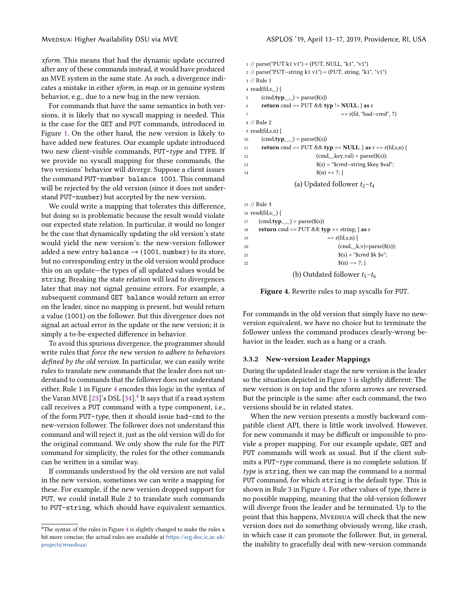xform. This means that had the dynamic update occurred after any of these commands instead, it would have produced an MVE system in the same state. As such, a divergence indicates a mistake in either  $xform$ , in map, or in genuine system behavior, e.g., due to a new bug in the new version.

For commands that have the same semantics in both versions, it is likely that no syscall mapping is needed. This is the case for the GET and PUT commands, introduced in Figure [1.](#page-2-2) On the other hand, the new version is likely to have added new features. Our example update introduced two new client-visible commands, PUT-type and TYPE. If we provide no syscall mapping for these commands, the two versions' behavior will diverge. Suppose a client issues the command PUT-number balance 1001. This command will be rejected by the old version (since it does not understand PUT-number) but accepted by the new version.

We could write a mapping that tolerates this difference, but doing so is problematic because the result would violate our expected state relation. In particular, it would no longer be the case that dynamically updating the old version's state would yield the new version's: the new-version follower added a new entry balance  $\rightarrow$  (1001, number) to its store, but no corresponding entry in the old version would produce this on an update—the types of all updated values would be string. Breaking the state relation will lead to divergences later that may not signal genuine errors. For example, a subsequent command GET balance would return an error on the leader, since no mapping is present, but would return a value (1001) on the follower. But this divergence does not signal an actual error in the update or the new version; it is simply a to-be-expected difference in behavior.

To avoid this spurious divergence, the programmer should write rules that force the new version to adhere to behaviors defined by the old version. In particular, we can easily write rules to translate new commands that the leader does not understand to commands that the follower does not understand either. Rule 1 in Figure [4](#page-6-0) encodes this logic in the syntax of the Varan MVE [\[23\]](#page-12-22)'s DSL [\[34\]](#page-12-23). $^4$  $^4$  It says that if a  ${\tt read}$  system call receives a PUT command with a type component, i.e., of the form PUT-type, then it should issue bad-cmd to the new-version follower. The follower does not understand this command and will reject it, just as the old version will do for the original command. We only show the rule for the PUT command for simplicity, the rules for the other commands can be written in a similar way.

If commands understood by the old version are not valid in the new version, sometimes we can write a mapping for these. For example, if the new version dropped support for PUT, we could install Rule 2 to translate such commands to PUT-string, which should have equivalent semantics.

```
1 // parse("PUT k1 v1") = (PUT, NULL, "k1", "v1")
 2 // parse("PUT−string k1 v1") = (PUT, string, "k1", "v1")
 3 // Rule 1
4 \text{ read}(fd,s) {
5 (cmd,typ, _, _) = parse($(s))6 return cmd == PUT \&& typ := NULL; as r
                                   7 => r(fd, "bad−cmd", 7)
8 // Rule 2
 9 read(fd,s,n) {
10 (cmd, typ, ) = parse(\$(s))11 return cmd == PUT && typ == NULL; } as r = r(fd,s,n) {
12 (cmd, \underline{.}, key, val) = parse(\$(s));
13 $(s) = "$cmd–string $key $val";
14 \{(n) \mid 1 \leq r \leq 7\}(a) Updated follower t_2-t_415 // Rule 3
```

```
16 read(fd,s,_) {
17 (cmd,typ, ...) = parse(\$(s))18 return cmd == PUT && typ == string; } as r
19 \Rightarrow r(fd,s,n) {
20 (\text{cmd}, \, k, v) = \text{parse}(\$(s));
21 \$(s) = "$cmd $k $v";22 \{(n) -1 \}(b) Outdated follower t_5-t_6
```
Figure 4. Rewrite rules to map syscalls for PUT.

For commands in the old version that simply have no newversion equivalent, we have no choice but to terminate the follower unless the command produces clearly-wrong behavior in the leader, such as a hang or a crash.

#### <span id="page-6-2"></span>3.3.2 New-version Leader Mappings

During the updated leader stage the new version is the leader so the situation depicted in Figure [3](#page-5-1) is slightly different: The new version is on top and the xform arrows are reversed. But the principle is the same: after each command, the two versions should be in related states.

When the new version presents a mostly backward compatible client API, there is little work involved. However, for new commands it may be difficult or impossible to provide a proper mapping. For our example update, GET and PUT commands will work as usual. But if the client submits a PUT-type command, there is no complete solution. If type is string, then we can map the command to a normal PUT command, for which string is the default type. This is shown in Rule 3 in Figure [4.](#page-6-0) For other values of  $type$ , there is no possible mapping, meaning that the old-version follower will diverge from the leader and be terminated. Up to the point that this happens, MvEDSUA will check that the new version does not do something obviously wrong, like crash, in which case it can promote the follower. But, in general, the inability to gracefully deal with new-version commands

<span id="page-6-1"></span> $^4{\rm The}$  $^4{\rm The}$  $^4{\rm The}$  syntax of the rules in Figure 4 is slightly changed to make the rules a bit more concise; the actual rules are available at [https://srg.doc.ic.ac.uk/](https://srg.doc.ic.ac.uk/projects/mvedsua/) [projects/mvedsua/](https://srg.doc.ic.ac.uk/projects/mvedsua/)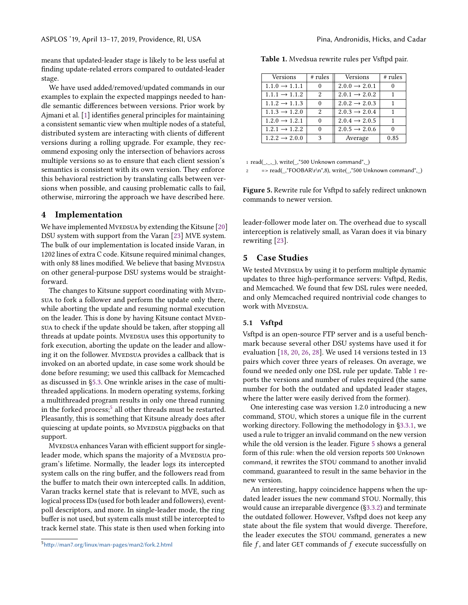means that updated-leader stage is likely to be less useful at finding update-related errors compared to outdated-leader stage.

We have used added/removed/updated commands in our examples to explain the expected mappings needed to handle semantic differences between versions. Prior work by Ajmani et al. [\[1\]](#page-11-8) identifies general principles for maintaining a consistent semantic view when multiple nodes of a stateful, distributed system are interacting with clients of different versions during a rolling upgrade. For example, they recommend exposing only the intersection of behaviors across multiple versions so as to ensure that each client session's semantics is consistent with its own version. They enforce this behavioral restriction by translating calls between versions when possible, and causing problematic calls to fail, otherwise, mirroring the approach we have described here.

# <span id="page-7-3"></span>4 Implementation

We have implemented MvEDSUA by extending the Kitsune [\[20\]](#page-12-9) DSU system with support from the Varan [\[23\]](#page-12-22) MVE system. The bulk of our implementation is located inside Varan, in 1202 lines of extra C code. Kitsune required minimal changes, with only 88 lines modified. We believe that basing MVEDSUA on other general-purpose DSU systems would be straightforward.

The changes to Kitsune support coordinating with MvEDsua to fork a follower and perform the update only there, while aborting the update and resuming normal execution on the leader. This is done by having Kitsune contact MvEDsua to check if the update should be taken, after stopping all threads at update points. MvEDSUA uses this opportunity to fork execution, aborting the update on the leader and allowing it on the follower. MvEDSUA provides a callback that is invoked on an aborted update, in case some work should be done before resuming; we used this callback for Memcached as discussed in [§5.3.](#page-8-0) One wrinkle arises in the case of multithreaded applications. In modern operating systems, forking a multithreaded program results in only one thread running in the forked process; $5$  all other threads must be restarted. Pleasantly, this is something that Kitsune already does after quiescing at update points, so MvEDSUA piggbacks on that support.

MvEDSUA enhances Varan with efficient support for singleleader mode, which spans the majority of a MvEDSUA program's lifetime. Normally, the leader logs its intercepted system calls on the ring buffer, and the followers read from the buffer to match their own intercepted calls. In addition, Varan tracks kernel state that is relevant to MVE, such as logical process IDs (used for both leader and followers), eventpoll descriptors, and more. In single-leader mode, the ring buffer is not used, but system calls must still be intercepted to track kernel state. This state is then used when forking into

<span id="page-7-1"></span>

|  |  |  |  | Table 1. Mvedsua rewrite rules per Vsftpd pair. |  |  |  |  |
|--|--|--|--|-------------------------------------------------|--|--|--|--|
|--|--|--|--|-------------------------------------------------|--|--|--|--|

| $\theta$       | $2.0.0 \rightarrow 2.0.1$ |          |
|----------------|---------------------------|----------|
|                |                           |          |
| 2              | $2.0.1 \rightarrow 2.0.2$ |          |
| 0              | $2.0.2 \rightarrow 2.0.3$ | 1        |
| $\mathfrak{D}$ | $2.0.3 \rightarrow 2.0.4$ | 1        |
| 0              | $2.0.4 \rightarrow 2.0.5$ |          |
| $\Omega$       | $2.0.5 \rightarrow 2.0.6$ | $\Omega$ |
| 3              | Average                   | 0.85     |
|                |                           |          |

<span id="page-7-2"></span><sup>1</sup> read(\_,\_,\_), write(\_,"500 Unknown command",\_)

=> read(\_,"FOOBAR\r\n",8), write(\_,"500 Unknown command",\_)

Figure 5. Rewrite rule for Vsftpd to safely redirect unknown commands to newer version.

leader-follower mode later on. The overhead due to syscall interception is relatively small, as Varan does it via binary rewriting [\[23\]](#page-12-22).

# <span id="page-7-4"></span>5 Case Studies

We tested MvEDSUA by using it to perform multiple dynamic updates to three high-performance servers: Vsftpd, Redis, and Memcached. We found that few DSL rules were needed, and only Memcached required nontrivial code changes to work with MvEDSUA.

## 5.1 Vsftpd

Vsftpd is an open-source FTP server and is a useful benchmark because several other DSU systems have used it for evaluation [\[18,](#page-12-35) [20,](#page-12-9) [26,](#page-12-27) [28\]](#page-12-10). We used 14 versions tested in 13 pairs which cover three years of releases. On average, we found we needed only one DSL rule per update. Table [1](#page-7-1) reports the versions and number of rules required (the same number for both the outdated and updated leader stages, where the latter were easily derived from the former).

One interesting case was version 1.2.0 introducing a new command, STOU, which stores a unique file in the current working directory. Following the methodology in [§3.3.1,](#page-5-2) we used a rule to trigger an invalid command on the new version while the old version is the leader. Figure [5](#page-7-2) shows a general form of this rule: when the old version reports 500 Unknown command, it rewrites the STOU command to another invalid command, guaranteed to result in the same behavior in the new version.

An interesting, happy coincidence happens when the updated leader issues the new command STOU. Normally, this would cause an irreparable divergence ([§3.3.2\)](#page-6-2) and terminate the outdated follower. However, Vsftpd does not keep any state about the file system that would diverge. Therefore, the leader executes the STOU command, generates a new file  $f$ , and later GET commands of  $f$  execute successfully on

<span id="page-7-0"></span><sup>5</sup><http://man7.org/linux/man-pages/man2/fork.2.html>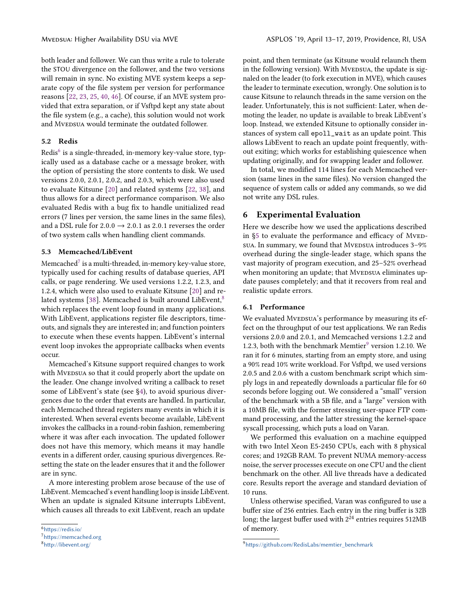both leader and follower. We can thus write a rule to tolerate the STOU divergence on the follower, and the two versions will remain in sync. No existing MVE system keeps a separate copy of the file system per version for performance reasons [\[22,](#page-12-16) [23,](#page-12-22) [25,](#page-12-32) [40,](#page-12-18) [46\]](#page-12-19). Of course, if an MVE system provided that extra separation, or if Vsftpd kept any state about the file system (e.g., a cache), this solution would not work and MvEDSUA would terminate the outdated follower.

# 5.2 Redis

Redis<sup>[6](#page-8-1)</sup> is a single-threaded, in-memory key-value store, typically used as a database cache or a message broker, with the option of persisting the store contents to disk. We used versions 2.0.0, 2.0.1, 2.0.2, and 2.0.3, which were also used to evaluate Kitsune [\[20\]](#page-12-9) and related systems [\[22,](#page-12-16) [38\]](#page-12-21), and thus allows for a direct performance comparison. We also evaluated Redis with a bug fix to handle unitialized read errors (7 lines per version, the same lines in the same files), and a DSL rule for 2.0.0  $\rightarrow$  2.0.1 as 2.0.1 reverses the order of two system calls when handling client commands.

## <span id="page-8-0"></span>5.3 Memcached/LibEvent

Memcached<sup>[7](#page-8-2)</sup> is a multi-threaded, in-memory key-value store, typically used for caching results of database queries, API calls, or page rendering. We used versions 1.2.2, 1.2.3, and 1.2.4, which were also used to evaluate Kitsune [\[20\]](#page-12-9) and re-lated systems [\[38\]](#page-12-21). Memcached is built around LibEvent,<sup>[8](#page-8-3)</sup> which replaces the event loop found in many applications. With LibEvent, applications register file descriptors, timeouts, and signals they are interested in; and function pointers to execute when these events happen. LibEvent's internal event loop invokes the appropriate callbacks when events occur.

Memcached's Kitsune support required changes to work with MvEDSUA so that it could properly abort the update on the leader. One change involved writing a callback to reset some of LibEvent's state (see [§4\)](#page-7-3), to avoid spurious divergences due to the order that events are handled. In particular, each Memcached thread registers many events in which it is interested. When several events become available, LibEvent invokes the callbacks in a round-robin fashion, remembering where it was after each invocation. The updated follower does not have this memory, which means it may handle events in a different order, causing spurious divergences. Resetting the state on the leader ensures that it and the follower are in sync.

A more interesting problem arose because of the use of LibEvent. Memcached's event handling loop is inside LibEvent. When an update is signaled Kitsune interrupts LibEvent, which causes all threads to exit LibEvent, reach an update

point, and then terminate (as Kitsune would relaunch them in the following version). With MvEDSUA, the update is signaled on the leader (to fork execution in MVE), which causes the leader to terminate execution, wrongly. One solution is to cause Kitsune to relaunch threads in the same version on the leader. Unfortunately, this is not sufficient: Later, when demoting the leader, no update is available to break LibEvent's loop. Instead, we extended Kitsune to optionally consider instances of system call epoll\_wait as an update point. This allows LibEvent to reach an update point frequently, without exiting; which works for establishing quiescence when updating originally, and for swapping leader and follower.

In total, we modified 114 lines for each Memcached version (same lines in the same files). No version changed the sequence of system calls or added any commands, so we did not write any DSL rules.

# 6 Experimental Evaluation

Here we describe how we used the applications described in [§5](#page-7-4) to evaluate the performance and efficacy of MvEDsua. In summary, we found that MvEDSUA introduces 3-9% overhead during the single-leader stage, which spans the vast majority of program execution, and 25–52% overhead when monitoring an update; that MvEDSUA eliminates update pauses completely; and that it recovers from real and realistic update errors.

# 6.1 Performance

We evaluated MvEDSUA's performance by measuring its effect on the throughput of our test applications. We ran Redis versions 2.0.0 and 2.0.1, and Memcached versions 1.2.2 and 1.2.3, both with the benchmark Memtier $9$  version 1.2.10. We ran it for 6 minutes, starting from an empty store, and using a 90% read 10% write workload. For Vsftpd, we used versions 2.0.5 and 2.0.6 with a custom benchmark script which simply logs in and repeatedly downloads a particular file for 60 seconds before logging out. We considered a "small" version of the benchmark with a 5B file, and a "large" version with a 10MB file, with the former stressing user-space FTP command processing, and the latter stressing the kernel-space syscall processing, which puts a load on Varan.

We performed this evaluation on a machine equipped with two Intel Xeon E5-2450 CPUs, each with 8 physical cores; and 192GB RAM. To prevent NUMA memory-access noise, the server processes execute on one CPU and the client benchmark on the other. All live threads have a dedicated core. Results report the average and standard deviation of 10 runs.

Unless otherwise specified, Varan was configured to use a buffer size of 256 entries. Each entry in the ring buffer is 32B long; the largest buffer used with  $2^{24}$  entries requires 512MB of memory.

<span id="page-8-1"></span><sup>6</sup><https://redis.io/>

<span id="page-8-2"></span><sup>7</sup><https://memcached.org>

<span id="page-8-3"></span><sup>8</sup><http://libevent.org/>

<span id="page-8-4"></span><sup>9</sup>[https://github.com/RedisLabs/memtier\\_benchmark](https://github.com/RedisLabs/memtier_benchmark)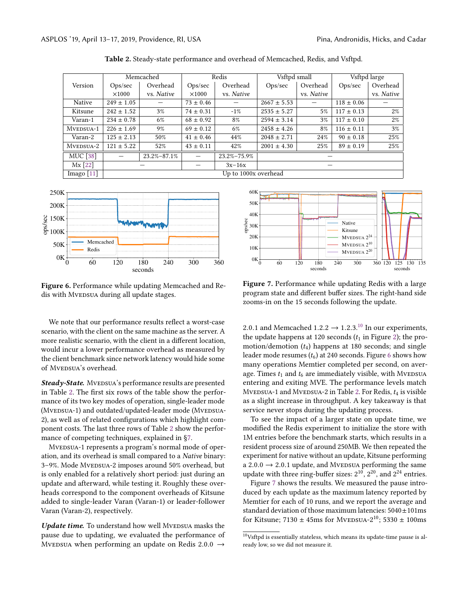<span id="page-9-0"></span>

|                                    |                   |               |             | Vsftpd small    |            | Vsftpd large   |            |  |
|------------------------------------|-------------------|---------------|-------------|-----------------|------------|----------------|------------|--|
| Ops/sec                            | Overhead          | Ops/sec       | Overhead    | Ops/sec         | Overhead   | Ops/sec        | Overhead   |  |
| $\times 1000$                      | vs. Native        | $\times$ 1000 | vs. Native  |                 | vs. Native |                | vs. Native |  |
| $249 \pm 1.05$                     |                   | $73 \pm 0.46$ |             | $2667 \pm 5.53$ |            | $118 \pm 0.06$ |            |  |
| $242 \pm 1.52$                     | $3\%$             | $74 \pm 0.31$ | $-1%$       | $2535 \pm 5.27$ | 5%         | $117 \pm 0.13$ | $2\%$      |  |
| $234 \pm 0.78$                     | 6%                | $68 \pm 0.92$ | 8%          | $2594 \pm 3.14$ | $3\%$      | $117 \pm 0.10$ | $2\%$      |  |
| $226 \pm 1.69$                     | $9\%$             | $69 \pm 0.12$ | 6%          | $2458 \pm 4.26$ | 8%         | $116 \pm 0.11$ | 3%         |  |
| $125 \pm 2.13$                     | 50%               | $41 \pm 0.46$ | 44%         | $2048 \pm 2.71$ | 24%        | $90 \pm 0.18$  | 25%        |  |
| $121 \pm 5.22$                     | 52%               | $43 \pm 0.11$ | 42%         | $2001 \pm 4.30$ | 25%        | $89 \pm 0.19$  | 25%        |  |
|                                    | $23.2\% - 87.1\%$ |               | 23.2%-75.9% |                 |            |                |            |  |
|                                    |                   |               | $3x-16x$    |                 |            |                |            |  |
| Imago [11]<br>Up to 1000x overhead |                   |               |             |                 |            |                |            |  |
|                                    |                   | Memcached     |             | Redis           |            |                |            |  |

Table 2. Steady-state performance and overhead of Memcached, Redis, and Vsftpd.

<span id="page-9-2"></span>

Figure 6. Performance while updating Memcached and Redis with MvEDSUA during all update stages.

We note that our performance results reflect a worst-case scenario, with the client on the same machine as the server. A more realistic scenario, with the client in a different location, would incur a lower performance overhead as measured by the client benchmark since network latency would hide some of MyEDSUA's overhead.

Steady-State. MVEDSUA's performance results are presented in Table [2.](#page-9-0) The first six rows of the table show the performance of its two key modes of operation, single-leader mode (MvEDSUA-1) and outdated/updated-leader mode (MvEDSUA-2), as well as of related configurations which highlight component costs. The last three rows of Table [2](#page-9-0) show the performance of competing techniques, explained in [§7.](#page-10-0)

MvEDSUA-1 represents a program's normal mode of operation, and its overhead is small compared to a Native binary: 3-9%. Mode MvEDSUA-2 imposes around 50% overhead, but is only enabled for a relatively short period: just during an update and afterward, while testing it. Roughly these overheads correspond to the component overheads of Kitsune added to single-leader Varan (Varan-1) or leader-follower Varan (Varan-2), respectively.

Update time. To understand how well MvEDSUA masks the pause due to updating, we evaluated the performance of Mvedsua when performing an update on Redis 2.0.0  $\rightarrow$ 

<span id="page-9-3"></span>

Figure 7. Performance while updating Redis with a large program state and different buffer sizes. The right-hand side zooms-in on the 15 seconds following the update.

2.0.1 and Memcached  $1.2.2 \rightarrow 1.2.3$ .<sup>[10](#page-9-1)</sup> In our experiments, the undate hanners at 120 seconds *(t. in Figure 2)*; the prothe update happens at 120 seconds  $(t_1$  in Figure [2\)](#page-4-1); the promotion/demotion  $(t_4)$  happens at 180 seconds; and single leader mode resumes  $(t_6)$  $(t_6)$  $(t_6)$  at 240 seconds. Figure 6 shows how many operations Memtier completed per second, on average. Times  $t_1$  and  $t_6$  are immediately visible, with MvEDSUA entering and exiting MVE. The performance levels match MVEDSUA-1 and MVEDSUA-2 in Table [2.](#page-9-0) For Redis,  $t_4$  is visible as a slight increase in throughput. A key takeaway is that service never stops during the updating process.

To see the impact of a larger state on update time, we modified the Redis experiment to initialize the store with 1M entries before the benchmark starts, which results in a resident process size of around 250MB. We then repeated the experiment for native without an update, Kitsune performing a 2.0.0  $\rightarrow$  2.0.1 update, and MvEDSUA performing the same update with three ring-buffer sizes:  $2^{10}$ ,  $2^{20}$ , and  $2^{24}$  entries.

Figure [7](#page-9-3) shows the results. We measured the pause introduced by each update as the maximum latency reported by Memtier for each of 10 runs, and we report the average and standard deviation of those maximum latencies: 5040±101ms for Kitsune;  $7130 \pm 45 \text{ms}$  for MvEDSUA-2<sup>10</sup>;  $5330 \pm 100 \text{ms}$ 

<span id="page-9-1"></span> $10V$ sftpd is essentially stateless, which means its update-time pause is already low, so we did not measure it.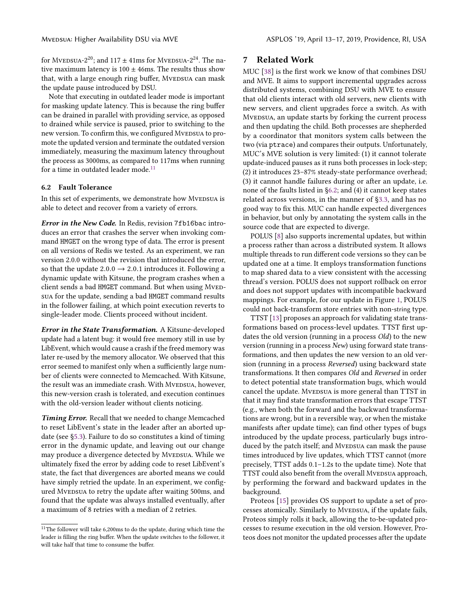for Mv $\tt{EDSUA-2^{20}}$ ; and 117  $\pm$  41ms for Mv $\tt{EDSUA-2^{24}}$ . The native maximum latency is  $100 \pm 46$ ms. The results thus show that, with a large enough ring buffer, MvEDSUA can mask the update pause introduced by DSU.

Note that executing in outdated leader mode is important for masking update latency. This is because the ring buffer can be drained in parallel with providing service, as opposed to drained while service is paused, prior to switching to the new version. To confirm this, we configured MvEDSUA to promote the updated version and terminate the outdated version immediately, measuring the maximum latency throughout the process as 3000ms, as compared to 117ms when running for a time in outdated leader mode. $11$ 

#### <span id="page-10-2"></span>6.2 Fault Tolerance

In this set of experiments, we demonstrate how MvEDSUA is able to detect and recover from a variety of errors.

Error in the New Code. In Redis, revision 7fb16bac introduces an error that crashes the server when invoking command HMGET on the wrong type of data. The error is present on all versions of Redis we tested. As an experiment, we ran version 2.0.0 without the revision that introduced the error, so that the update 2.0.0  $\rightarrow$  2.0.1 introduces it. Following a dynamic update with Kitsune, the program crashes when a client sends a bad HMGET command. But when using MVEDsua for the update, sending a bad HMGET command results in the follower failing, at which point execution reverts to single-leader mode. Clients proceed without incident.

Error in the State Transformation. A Kitsune-developed update had a latent bug: it would free memory still in use by LibEvent, which would cause a crash if the freed memory was later re-used by the memory allocator. We observed that this error seemed to manifest only when a sufficiently large number of clients were connected to Memcached. With Kitsune, the result was an immediate crash. With MvEDSUA, however, this new-version crash is tolerated, and execution continues with the old-version leader without clients noticing.

Timing Error. Recall that we needed to change Memcached to reset LibEvent's state in the leader after an aborted update (see [§5.3\)](#page-8-0). Failure to do so constitutes a kind of timing error in the dynamic update, and leaving out our change may produce a divergence detected by MvEDSUA. While we ultimately fixed the error by adding code to reset LibEvent's state, the fact that divergences are aborted means we could have simply retried the update. In an experiment, we configured MvEDSUA to retry the update after waiting 500ms, and found that the update was always installed eventually, after a maximum of 8 retries with a median of 2 retries.

# <span id="page-10-0"></span>7 Related Work

MUC [\[38\]](#page-12-21) is the first work we know of that combines DSU and MVE. It aims to support incremental upgrades across distributed systems, combining DSU with MVE to ensure that old clients interact with old servers, new clients with new servers, and client upgrades force a switch. As with MvEDSUA, an update starts by forking the current process and then updating the child. Both processes are shepherded by a coordinator that monitors system calls between the two (via ptrace) and compares their outputs. Unfortunately, MUC's MVE solution is very limited: (1) it cannot tolerate update-induced pauses as it runs both processes in lock-step; (2) it introduces 23–87% steady-state performance overhead; (3) it cannot handle failures during or after an update, i.e. none of the faults listed in [§6.2;](#page-10-2) and (4) it cannot keep states related across versions, in the manner of [§3.3,](#page-5-0) and has no good way to fix this. MUC can handle expected divergences in behavior, but only by annotating the system calls in the source code that are expected to diverge.

POLUS [\[8\]](#page-11-3) also supports incremental updates, but within a process rather than across a distributed system. It allows multiple threads to run different code versions so they can be updated one at a time. It employs transformation functions to map shared data to a view consistent with the accessing thread's version. POLUS does not support rollback on error and does not support updates with incompatible backward mappings. For example, for our update in Figure [1,](#page-2-2) POLUS could not back-transform store entries with non-string type.

TTST [\[13\]](#page-12-7) proposes an approach for validating state transformations based on process-level updates. TTST first updates the old version (running in a process *Old*) to the new version (running in a process New) using forward state transformations, and then updates the new version to an old version (running in a process Reversed) using backward state transformations. It then compares Old and Reversed in order to detect potential state transformation bugs, which would cancel the update. MvEDSUA is more general than TTST in that it may find state transformation errors that escape TTST (e.g., when both the forward and the backward transformations are wrong, but in a reversible way, or when the mistake manifests after update time); can find other types of bugs introduced by the update process, particularly bugs introduced by the patch itself; and MvEDSUA can mask the pause times introduced by live updates, which TTST cannot (more precisely, TTST adds 0.1–1.2s to the update time). Note that TTST could also benefit from the overall MvEDSUA approach, by performing the forward and backward updates in the background.

Proteos [\[15\]](#page-12-8) provides OS support to update a set of processes atomically. Similarly to MvEDSUA, if the update fails, Proteos simply rolls it back, allowing the to-be-updated processes to resume execution in the old version. However, Proteos does not monitor the updated processes after the update

<span id="page-10-1"></span> $^{11}\mathrm{The}$  follower will take 6,200ms to do the update, during which time the leader is filling the ring buffer. When the update switches to the follower, it will take half that time to consume the buffer.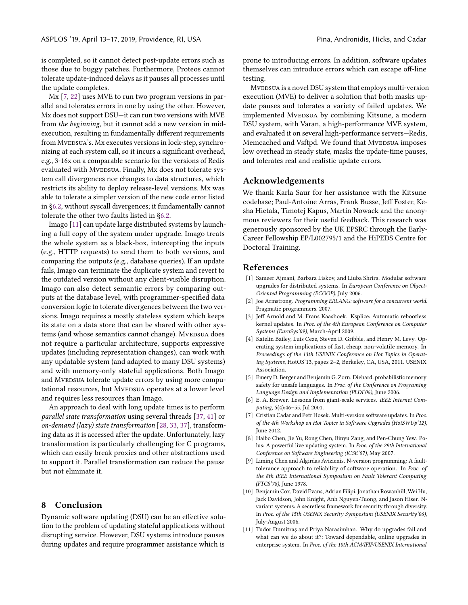is completed, so it cannot detect post-update errors such as those due to buggy patches. Furthermore, Proteos cannot tolerate update-induced delays as it pauses all processes until the update completes.

Mx [\[7,](#page-11-10) [22\]](#page-12-16) uses MVE to run two program versions in parallel and tolerates errors in one by using the other. However, Mx does not support DSU—it can run two versions with MVE from the beginning, but it cannot add a new version in midexecution, resulting in fundamentally different requirements from MvEDSUA's. Mx executes versions in lock-step, synchronizing at each system call, so it incurs a significant overhead, e.g., 3-16x on a comparable scenario for the versions of Redis evaluated with MvEDSUA. Finally, Mx does not tolerate system call divergences nor changes to data structures, which restricts its ability to deploy release-level versions. Mx was able to tolerate a simpler version of the new code error listed in [§6.2,](#page-10-2) without syscall divergences; it fundamentally cannot tolerate the other two faults listed in [§6.2.](#page-10-2)

Imago [\[11\]](#page-11-9) can update large distributed systems by launching a full copy of the system under upgrade. Imago treats the whole system as a black-box, intercepting the inputs (e.g., HTTP requests) to send them to both versions, and comparing the outputs (e.g., database queries). If an update fails, Imago can terminate the duplicate system and revert to the outdated version without any client-visible disruption. Imago can also detect semantic errors by comparing outputs at the database level, with programmer-specified data conversion logic to tolerate divergences between the two versions. Imago requires a mostly stateless system which keeps its state on a data store that can be shared with other systems (and whose semantics cannot change). MvEDSUA does not require a particular architecture, supports expressive updates (including representation changes), can work with any updatable system (and adapted to many DSU systems) and with memory-only stateful applications. Both Imago and MvEDSUA tolerate update errors by using more computational resources, but MvEDSUA operates at a lower level and requires less resources than Imago.

An approach to deal with long update times is to perform parallel state transformation using several threads [\[37,](#page-12-11) [41\]](#page-12-36) or on-demand (lazy) state transformation [\[28,](#page-12-10) [33,](#page-12-37) [37\]](#page-12-11), transforming data as it is accessed after the update. Unfortunately, lazy transformation is particularly challenging for C programs, which can easily break proxies and other abstractions used to support it. Parallel transformation can reduce the pause but not eliminate it.

# 8 Conclusion

Dynamic software updating (DSU) can be an effective solution to the problem of updating stateful applications without disrupting service. However, DSU systems introduce pauses during updates and require programmer assistance which is

prone to introducing errors. In addition, software updates themselves can introduce errors which can escape off-line testing.

MvEDSUA is a novel DSU system that employs multi-version execution (MVE) to deliver a solution that both masks update pauses and tolerates a variety of failed updates. We implemented MvEDSUA by combining Kitsune, a modern DSU system, with Varan, a high-performance MVE system, and evaluated it on several high-performance servers—Redis, Memcached and Vsftpd. We found that MvEDSUA imposes low overhead in steady state, masks the update-time pauses, and tolerates real and realistic update errors.

# Acknowledgements

We thank Karla Saur for her assistance with the Kitsune codebase; Paul-Antoine Arras, Frank Busse, Jeff Foster, Kesha Hietala, Timotej Kapus, Martin Nowack and the anonymous reviewers for their useful feedback. This research was generously sponsored by the UK EPSRC through the Early-Career Fellowship EP/L002795/1 and the HiPEDS Centre for Doctoral Training.

## References

- <span id="page-11-8"></span>[1] Sameer Ajmani, Barbara Liskov, and Liuba Shrira. Modular software upgrades for distributed systems. In European Conference on Object-Oriented Programming (ECOOP), July 2006.
- <span id="page-11-2"></span>[2] Joe Armstrong. Programming ERLANG: software for a concurrent world. Pragmatic programmers. 2007.
- <span id="page-11-1"></span>[3] Jeff Arnold and M. Frans Kaashoek. Ksplice: Automatic rebootless kernel updates. In Proc. of the 4th European Conference on Computer Systems (EuroSys'09), March-April 2009.
- <span id="page-11-7"></span>[4] Katelin Bailey, Luis Ceze, Steven D. Gribble, and Henry M. Levy. Operating system implications of fast, cheap, non-volatile memory. In Proceedings of the 13th USENIX Conference on Hot Topics in Operating Systems, HotOS'13, pages 2–2, Berkeley, CA, USA, 2011. USENIX Association.
- <span id="page-11-4"></span>[5] Emery D. Berger and Benjamin G. Zorn. Diehard: probabilistic memory safety for unsafe languages. In Proc. of the Conference on Programing Language Design and Implementation (PLDI'06), June 2006.
- <span id="page-11-0"></span>[6] E. A. Brewer. Lessons from giant-scale services. IEEE Internet Computing, 5(4):46–55, Jul 2001.
- <span id="page-11-10"></span>[7] Cristian Cadar and Petr Hosek. Multi-version software updates. In Proc. of the 4th Workshop on Hot Topics in Software Upgrades (HotSWUp'12), June 2012.
- <span id="page-11-3"></span>[8] Haibo Chen, Jie Yu, Rong Chen, Binyu Zang, and Pen-Chung Yew. Polus: A powerful live updating system. In Proc. of the 29th International Conference on Software Engineering (ICSE'07), May 2007.
- <span id="page-11-5"></span>[9] Liming Chen and Algirdas Avizienis. N-version programming: A faulttolerance approach to reliability of software operation. In Proc. of the 8th IEEE International Symposium on Fault Tolerant Computing (FTCS'78), June 1978.
- <span id="page-11-6"></span>[10] Benjamin Cox, David Evans, Adrian Filipi, Jonathan Rowanhill, Wei Hu, Jack Davidson, John Knight, Anh Nguyen-Tuong, and Jason Hiser. Nvariant systems: A secretless framework for security through diversity. In Proc. of the 15th USENIX Security Symposium (USENIX Security'06), July-August 2006.
- <span id="page-11-9"></span>[11] Tudor Dumitraş and Priya Narasimhan. Why do upgrades fail and what can we do about it?: Toward dependable, online upgrades in enterprise system. In Proc. of the 10th ACM/IFIP/USENIX International